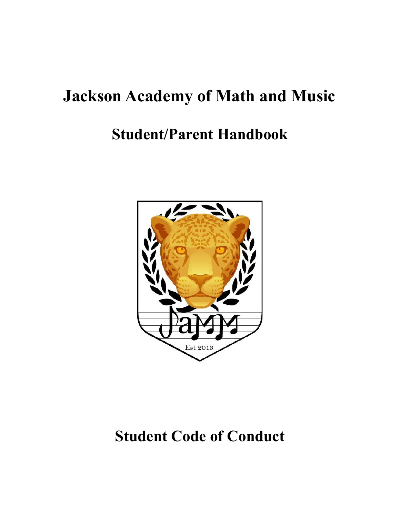# **Jackson Academy of Math and Music**

# **Student/Parent Handbook**



# **Student Code of Conduct**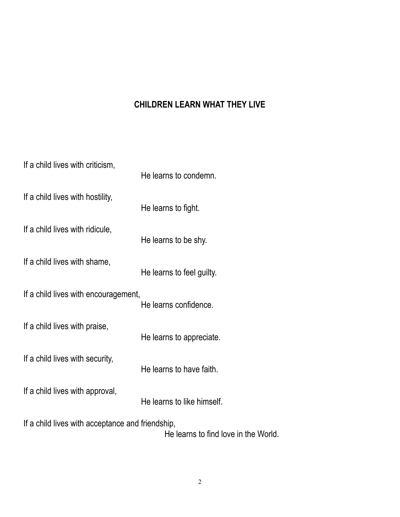# **CHILDREN LEARN WHAT THEY LIVE**

| If a child lives with criticism,                 | He learns to condemn.                |
|--------------------------------------------------|--------------------------------------|
| If a child lives with hostility,                 | He learns to fight.                  |
| If a child lives with ridicule,                  | He learns to be shy.                 |
| If a child lives with shame,                     | He learns to feel guilty.            |
| If a child lives with encouragement,             | He learns confidence.                |
| If a child lives with praise,                    | He learns to appreciate.             |
| If a child lives with security,                  | He learns to have faith.             |
| If a child lives with approval,                  | He learns to like himself.           |
| If a child lives with acceptance and friendship, | He learns to find love in the World. |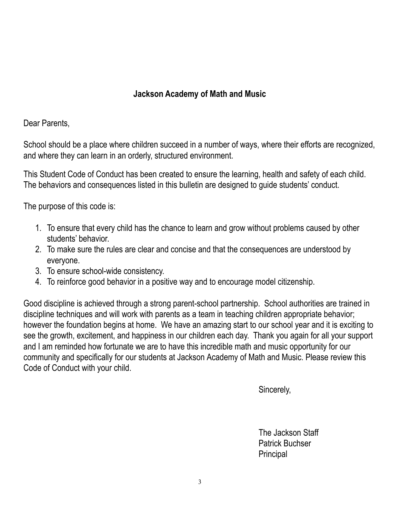# **Jackson Academy of Math and Music**

Dear Parents,

School should be a place where children succeed in a number of ways, where their efforts are recognized, and where they can learn in an orderly, structured environment.

This Student Code of Conduct has been created to ensure the learning, health and safety of each child. The behaviors and consequences listed in this bulletin are designed to guide students' conduct.

The purpose of this code is:

- 1. To ensure that every child has the chance to learn and grow without problems caused by other students' behavior.
- 2. To make sure the rules are clear and concise and that the consequences are understood by everyone.
- 3. To ensure school-wide consistency.
- 4. To reinforce good behavior in a positive way and to encourage model citizenship.

Good discipline is achieved through a strong parent-school partnership. School authorities are trained in discipline techniques and will work with parents as a team in teaching children appropriate behavior; however the foundation begins at home. We have an amazing start to our school year and it is exciting to see the growth, excitement, and happiness in our children each day. Thank you again for all your support and I am reminded how fortunate we are to have this incredible math and music opportunity for our community and specifically for our students at Jackson Academy of Math and Music. Please review this Code of Conduct with your child.

Sincerely,

The Jackson Staff Patrick Buchser **Principal**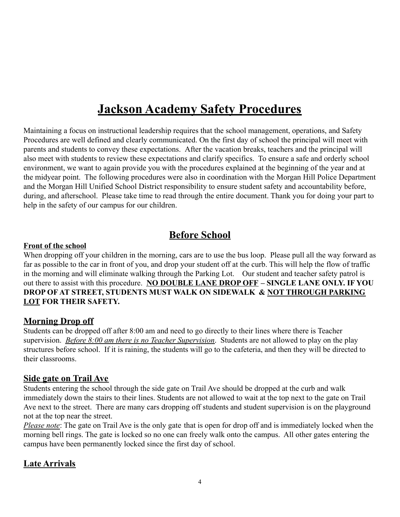# **Jackson Academy Safety Procedures**

Maintaining a focus on instructional leadership requires that the school management, operations, and Safety Procedures are well defined and clearly communicated. On the first day of school the principal will meet with parents and students to convey these expectations. After the vacation breaks, teachers and the principal will also meet with students to review these expectations and clarify specifics. To ensure a safe and orderly school environment, we want to again provide you with the procedures explained at the beginning of the year and at the midyear point. The following procedures were also in coordination with the Morgan Hill Police Department and the Morgan Hill Unified School District responsibility to ensure student safety and accountability before, during, and afterschool. Please take time to read through the entire document. Thank you for doing your part to help in the safety of our campus for our children.

# **Before School**

# **Front of the school**

When dropping off your children in the morning, cars are to use the bus loop. Please pull all the way forward as far as possible to the car in front of you, and drop your student off at the curb. This will help the flow of traffic in the morning and will eliminate walking through the Parking Lot. Our student and teacher safety patrol is out there to assist with this procedure. **NO DOUBLE LANE DROP OFF – SINGLE LANE ONLY. IF YOU DROP OF AT STREET, STUDENTS MUST WALK ON SIDEWALK & NOT THROUGH PARKING LOT FOR THEIR SAFETY.**

# **Morning Drop off**

Students can be dropped off after 8:00 am and need to go directly to their lines where there is Teacher supervision. *Before 8:00 am there is no Teacher Supervision*. Students are not allowed to play on the play structures before school. If it is raining, the students will go to the cafeteria, and then they will be directed to their classrooms.

# **Side gate on Trail Ave**

Students entering the school through the side gate on Trail Ave should be dropped at the curb and walk immediately down the stairs to their lines. Students are not allowed to wait at the top next to the gate on Trail Ave next to the street. There are many cars dropping off students and student supervision is on the playground not at the top near the street.

*Please note*: The gate on Trail Ave is the only gate that is open for drop off and is immediately locked when the morning bell rings. The gate is locked so no one can freely walk onto the campus. All other gates entering the campus have been permanently locked since the first day of school.

# **Late Arrivals**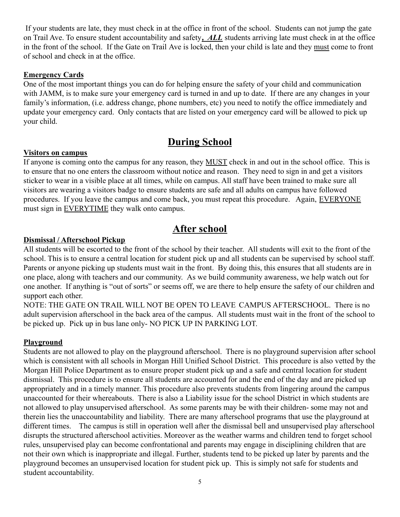If your students are late, they must check in at the office in front of the school. Students can not jump the gate on Trail Ave. To ensure student accountability and safety*, ALL* students arriving late must check in at the office in the front of the school. If the Gate on Trail Ave is locked, then your child is late and they must come to front of school and check in at the office.

#### **Emergency Cards**

One of the most important things you can do for helping ensure the safety of your child and communication with JAMM, is to make sure your emergency card is turned in and up to date. If there are any changes in your family's information, (i.e. address change, phone numbers, etc) you need to notify the office immediately and update your emergency card. Only contacts that are listed on your emergency card will be allowed to pick up your child.

# **During School**

## **Visitors on campus**

If anyone is coming onto the campus for any reason, they MUST check in and out in the school office. This is to ensure that no one enters the classroom without notice and reason. They need to sign in and get a visitors sticker to wear in a visible place at all times, while on campus. All staff have been trained to make sure all visitors are wearing a visitors badge to ensure students are safe and all adults on campus have followed procedures. If you leave the campus and come back, you must repeat this procedure. Again, EVERYONE must sign in EVERYTIME they walk onto campus.

# **After school**

## **Dismissal / Afterschool Pickup**

All students will be escorted to the front of the school by their teacher. All students will exit to the front of the school. This is to ensure a central location for student pick up and all students can be supervised by school staff. Parents or anyone picking up students must wait in the front. By doing this, this ensures that all students are in one place, along with teachers and our community. As we build community awareness, we help watch out for one another. If anything is "out of sorts" or seems off, we are there to help ensure the safety of our children and support each other.

NOTE: THE GATE ON TRAIL WILL NOT BE OPEN TO LEAVE CAMPUS AFTERSCHOOL. There is no adult supervision afterschool in the back area of the campus. All students must wait in the front of the school to be picked up. Pick up in bus lane only- NO PICK UP IN PARKING LOT.

# **Playground**

Students are not allowed to play on the playground afterschool. There is no playground supervision after school which is consistent with all schools in Morgan Hill Unified School District. This procedure is also vetted by the Morgan Hill Police Department as to ensure proper student pick up and a safe and central location for student dismissal. This procedure is to ensure all students are accounted for and the end of the day and are picked up appropriately and in a timely manner. This procedure also prevents students from lingering around the campus unaccounted for their whereabouts. There is also a Liability issue for the school District in which students are not allowed to play unsupervised afterschool. As some parents may be with their children- some may not and therein lies the unaccountability and liability. There are many afterschool programs that use the playground at different times. The campus is still in operation well after the dismissal bell and unsupervised play afterschool disrupts the structured afterschool activities. Moreover as the weather warms and children tend to forget school rules, unsupervised play can become confrontational and parents may engage in disciplining children that are not their own which is inappropriate and illegal. Further, students tend to be picked up later by parents and the playground becomes an unsupervised location for student pick up. This is simply not safe for students and student accountability.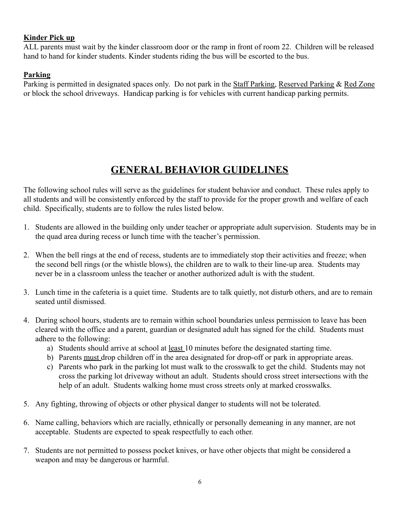# **Kinder Pick up**

ALL parents must wait by the kinder classroom door or the ramp in front of room 22. Children will be released hand to hand for kinder students. Kinder students riding the bus will be escorted to the bus.

# **Parking**

Parking is permitted in designated spaces only. Do not park in the Staff Parking, Reserved Parking & Red Zone or block the school driveways. Handicap parking is for vehicles with current handicap parking permits.

# **GENERAL BEHAVIOR GUIDELINES**

The following school rules will serve as the guidelines for student behavior and conduct. These rules apply to all students and will be consistently enforced by the staff to provide for the proper growth and welfare of each child. Specifically, students are to follow the rules listed below.

- 1. Students are allowed in the building only under teacher or appropriate adult supervision. Students may be in the quad area during recess or lunch time with the teacher's permission.
- 2. When the bell rings at the end of recess, students are to immediately stop their activities and freeze; when the second bell rings (or the whistle blows), the children are to walk to their line-up area. Students may never be in a classroom unless the teacher or another authorized adult is with the student.
- 3. Lunch time in the cafeteria is a quiet time. Students are to talk quietly, not disturb others, and are to remain seated until dismissed.
- 4. During school hours, students are to remain within school boundaries unless permission to leave has been cleared with the office and a parent, guardian or designated adult has signed for the child. Students must adhere to the following:
	- a) Students should arrive at school at least 10 minutes before the designated starting time.
	- b) Parents must drop children off in the area designated for drop-off or park in appropriate areas.
	- c) Parents who park in the parking lot must walk to the crosswalk to get the child. Students may not cross the parking lot driveway without an adult. Students should cross street intersections with the help of an adult. Students walking home must cross streets only at marked crosswalks.
- 5. Any fighting, throwing of objects or other physical danger to students will not be tolerated.
- 6. Name calling, behaviors which are racially, ethnically or personally demeaning in any manner, are not acceptable. Students are expected to speak respectfully to each other.
- 7. Students are not permitted to possess pocket knives, or have other objects that might be considered a weapon and may be dangerous or harmful.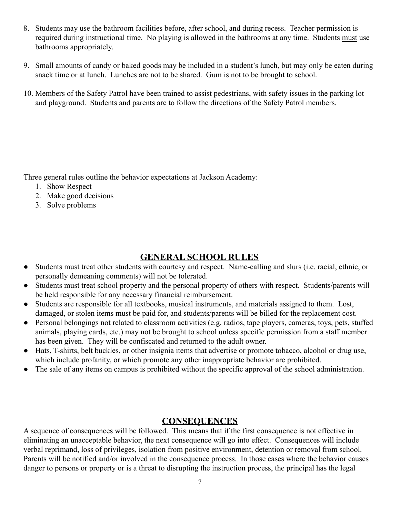- 8. Students may use the bathroom facilities before, after school, and during recess. Teacher permission is required during instructional time. No playing is allowed in the bathrooms at any time. Students must use bathrooms appropriately.
- 9. Small amounts of candy or baked goods may be included in a student's lunch, but may only be eaten during snack time or at lunch. Lunches are not to be shared. Gum is not to be brought to school.
- 10. Members of the Safety Patrol have been trained to assist pedestrians, with safety issues in the parking lot and playground. Students and parents are to follow the directions of the Safety Patrol members.

Three general rules outline the behavior expectations at Jackson Academy:

- 1. Show Respect
- 2. Make good decisions
- 3. Solve problems

# **GENERAL SCHOOL RULES**

- Students must treat other students with courtesy and respect. Name-calling and slurs (i.e. racial, ethnic, or personally demeaning comments) will not be tolerated.
- Students must treat school property and the personal property of others with respect. Students/parents will be held responsible for any necessary financial reimbursement.
- Students are responsible for all textbooks, musical instruments, and materials assigned to them. Lost, damaged, or stolen items must be paid for, and students/parents will be billed for the replacement cost.
- Personal belongings not related to classroom activities (e.g. radios, tape players, cameras, toys, pets, stuffed animals, playing cards, etc.) may not be brought to school unless specific permission from a staff member has been given. They will be confiscated and returned to the adult owner.
- Hats, T-shirts, belt buckles, or other insignia items that advertise or promote tobacco, alcohol or drug use, which include profanity, or which promote any other inappropriate behavior are prohibited.
- The sale of any items on campus is prohibited without the specific approval of the school administration.

# **CONSEQUENCES**

A sequence of consequences will be followed. This means that if the first consequence is not effective in eliminating an unacceptable behavior, the next consequence will go into effect. Consequences will include verbal reprimand, loss of privileges, isolation from positive environment, detention or removal from school. Parents will be notified and/or involved in the consequence process. In those cases where the behavior causes danger to persons or property or is a threat to disrupting the instruction process, the principal has the legal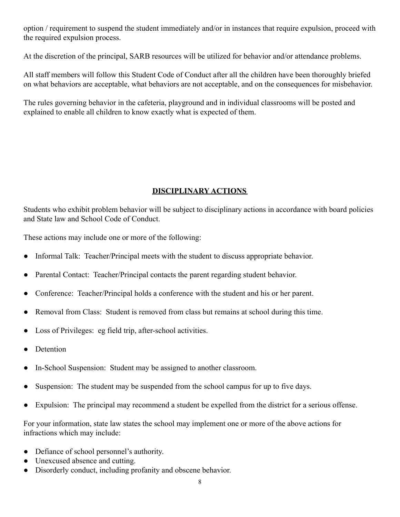option / requirement to suspend the student immediately and/or in instances that require expulsion, proceed with the required expulsion process.

At the discretion of the principal, SARB resources will be utilized for behavior and/or attendance problems.

All staff members will follow this Student Code of Conduct after all the children have been thoroughly briefed on what behaviors are acceptable, what behaviors are not acceptable, and on the consequences for misbehavior.

The rules governing behavior in the cafeteria, playground and in individual classrooms will be posted and explained to enable all children to know exactly what is expected of them.

# **DISCIPLINARY ACTIONS**

Students who exhibit problem behavior will be subject to disciplinary actions in accordance with board policies and State law and School Code of Conduct.

These actions may include one or more of the following:

- Informal Talk: Teacher/Principal meets with the student to discuss appropriate behavior.
- Parental Contact: Teacher/Principal contacts the parent regarding student behavior.
- Conference: Teacher/Principal holds a conference with the student and his or her parent.
- Removal from Class: Student is removed from class but remains at school during this time.
- Loss of Privileges: eg field trip, after-school activities.
- Detention
- In-School Suspension: Student may be assigned to another classroom.
- Suspension: The student may be suspended from the school campus for up to five days.
- Expulsion: The principal may recommend a student be expelled from the district for a serious offense.

For your information, state law states the school may implement one or more of the above actions for infractions which may include:

- Defiance of school personnel's authority.
- Unexcused absence and cutting.
- Disorderly conduct, including profanity and obscene behavior.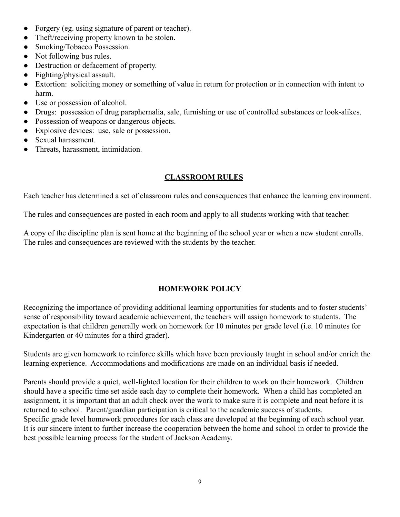- Forgery (eg. using signature of parent or teacher).
- Theft/receiving property known to be stolen.
- Smoking/Tobacco Possession.
- Not following bus rules.
- Destruction or defacement of property.
- Fighting/physical assault.
- Extortion: soliciting money or something of value in return for protection or in connection with intent to harm.
- Use or possession of alcohol.
- Drugs: possession of drug paraphernalia, sale, furnishing or use of controlled substances or look-alikes.
- Possession of weapons or dangerous objects.
- Explosive devices: use, sale or possession.
- Sexual harassment.
- Threats, harassment, intimidation.

#### **CLASSROOM RULES**

Each teacher has determined a set of classroom rules and consequences that enhance the learning environment.

The rules and consequences are posted in each room and apply to all students working with that teacher.

A copy of the discipline plan is sent home at the beginning of the school year or when a new student enrolls. The rules and consequences are reviewed with the students by the teacher.

## **HOMEWORK POLICY**

Recognizing the importance of providing additional learning opportunities for students and to foster students' sense of responsibility toward academic achievement, the teachers will assign homework to students. The expectation is that children generally work on homework for 10 minutes per grade level (i.e. 10 minutes for Kindergarten or 40 minutes for a third grader).

Students are given homework to reinforce skills which have been previously taught in school and/or enrich the learning experience. Accommodations and modifications are made on an individual basis if needed.

Parents should provide a quiet, well-lighted location for their children to work on their homework. Children should have a specific time set aside each day to complete their homework. When a child has completed an assignment, it is important that an adult check over the work to make sure it is complete and neat before it is returned to school. Parent/guardian participation is critical to the academic success of students. Specific grade level homework procedures for each class are developed at the beginning of each school year. It is our sincere intent to further increase the cooperation between the home and school in order to provide the best possible learning process for the student of Jackson Academy.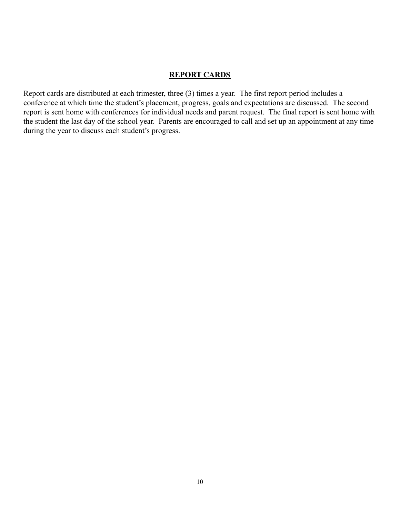#### **REPORT CARDS**

Report cards are distributed at each trimester, three (3) times a year. The first report period includes a conference at which time the student's placement, progress, goals and expectations are discussed. The second report is sent home with conferences for individual needs and parent request. The final report is sent home with the student the last day of the school year. Parents are encouraged to call and set up an appointment at any time during the year to discuss each student's progress.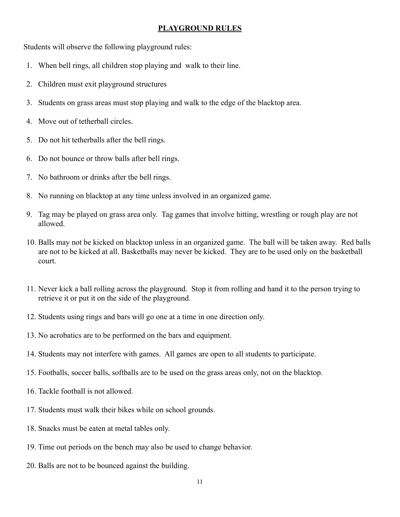#### **PLAYGROUND RULES**

Students will observe the following playground rules:

- 1. When bell rings, all children stop playing and walk to their line.
- 2. Children must exit playground structures
- 3. Students on grass areas must stop playing and walk to the edge of the blacktop area.
- 4. Move out of tetherball circles.
- 5. Do not hit tetherballs after the bell rings.
- 6. Do not bounce or throw balls after bell rings.
- 7. No bathroom or drinks after the bell rings.
- 8. No running on blacktop at any time unless involved in an organized game.
- 9. Tag may be played on grass area only. Tag games that involve hitting, wrestling or rough play are not allowed.
- 10. Balls may not be kicked on blacktop unless in an organized game. The ball will be taken away. Red balls are not to be kicked at all. Basketballs may never be kicked. They are to be used only on the basketball court.
- 11. Never kick a ball rolling across the playground. Stop it from rolling and hand it to the person trying to retrieve it or put it on the side of the playground.
- 12. Students using rings and bars will go one at a time in one direction only.
- 13. No acrobatics are to be performed on the bars and equipment.
- 14. Students may not interfere with games. All games are open to all students to participate.
- 15. Footballs, soccer balls, softballs are to be used on the grass areas only, not on the blacktop.
- 16. Tackle football is not allowed.
- 17. Students must walk their bikes while on school grounds.
- 18. Snacks must be eaten at metal tables only.
- 19. Time out periods on the bench may also be used to change behavior.
- 20. Balls are not to be bounced against the building.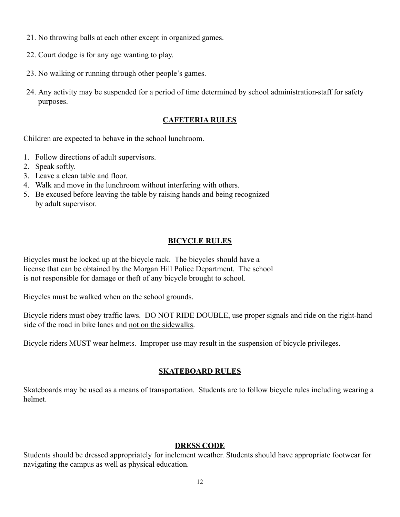- 21. No throwing balls at each other except in organized games.
- 22. Court dodge is for any age wanting to play.
- 23. No walking or running through other people's games.
- 24. Any activity may be suspended for a period of time determined by school administration staff for safety purposes.

# **CAFETERIA RULES**

Children are expected to behave in the school lunchroom.

- 1. Follow directions of adult supervisors.
- 2. Speak softly.
- 3. Leave a clean table and floor.
- 4. Walk and move in the lunchroom without interfering with others.
- 5. Be excused before leaving the table by raising hands and being recognized by adult supervisor.

# **BICYCLE RULES**

Bicycles must be locked up at the bicycle rack. The bicycles should have a license that can be obtained by the Morgan Hill Police Department. The school is not responsible for damage or theft of any bicycle brought to school.

Bicycles must be walked when on the school grounds.

Bicycle riders must obey traffic laws. DO NOT RIDE DOUBLE, use proper signals and ride on the right-hand side of the road in bike lanes and not on the sidewalks.

Bicycle riders MUST wear helmets. Improper use may result in the suspension of bicycle privileges.

# **SKATEBOARD RULES**

Skateboards may be used as a means of transportation. Students are to follow bicycle rules including wearing a helmet.

## **DRESS CODE**

Students should be dressed appropriately for inclement weather. Students should have appropriate footwear for navigating the campus as well as physical education.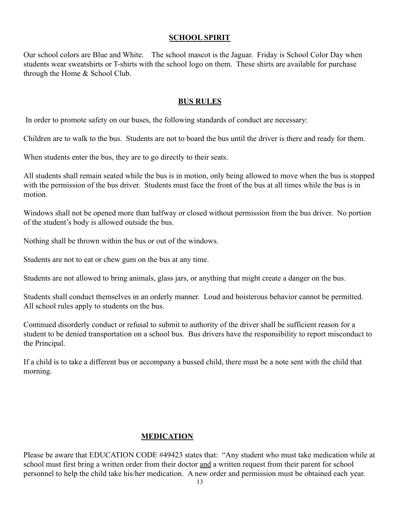## **SCHOOL SPIRIT**

Our school colors are Blue and White. The school mascot is the Jaguar. Friday is School Color Day when students wear sweatshirts or T-shirts with the school logo on them. These shirts are available for purchase through the Home & School Club.

#### **BUS RULES**

In order to promote safety on our buses, the following standards of conduct are necessary:

Children are to walk to the bus. Students are not to board the bus until the driver is there and ready for them.

When students enter the bus, they are to go directly to their seats.

All students shall remain seated while the bus is in motion, only being allowed to move when the bus is stopped with the permission of the bus driver. Students must face the front of the bus at all times while the bus is in motion.

Windows shall not be opened more than halfway or closed without permission from the bus driver. No portion of the student's body is allowed outside the bus.

Nothing shall be thrown within the bus or out of the windows.

Students are not to eat or chew gum on the bus at any time.

Students are not allowed to bring animals, glass jars, or anything that might create a danger on the bus.

Students shall conduct themselves in an orderly manner. Loud and boisterous behavior cannot be permitted. All school rules apply to students on the bus.

Continued disorderly conduct or refusal to submit to authority of the driver shall be sufficient reason for a student to be denied transportation on a school bus. Bus drivers have the responsibility to report misconduct to the Principal.

If a child is to take a different bus or accompany a bussed child, there must be a note sent with the child that morning.

# **MEDICATION**

Please be aware that EDUCATION CODE #49423 states that: "Any student who must take medication while at school must first bring a written order from their doctor and a written request from their parent for school personnel to help the child take his/her medication. A new order and permission must be obtained each year.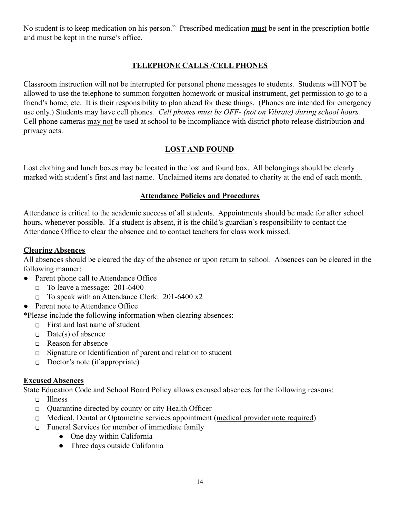No student is to keep medication on his person." Prescribed medication must be sent in the prescription bottle and must be kept in the nurse's office.

# **TELEPHONE CALLS /CELL PHONES**

Classroom instruction will not be interrupted for personal phone messages to students. Students will NOT be allowed to use the telephone to summon forgotten homework or musical instrument, get permission to go to a friend's home, etc. It is their responsibility to plan ahead for these things. (Phones are intended for emergency use only.) Students may have cell phones*. Cell phones must be OFF- (not on Vibrate) during school hours.* Cell phone cameras may not be used at school to be incompliance with district photo release distribution and privacy acts.

# **LOST AND FOUND**

Lost clothing and lunch boxes may be located in the lost and found box. All belongings should be clearly marked with student's first and last name. Unclaimed items are donated to charity at the end of each month.

## **Attendance Policies and Procedures**

Attendance is critical to the academic success of all students. Appointments should be made for after school hours, whenever possible. If a student is absent, it is the child's guardian's responsibility to contact the Attendance Office to clear the absence and to contact teachers for class work missed.

#### **Clearing Absences**

All absences should be cleared the day of the absence or upon return to school. Absences can be cleared in the following manner:

- Parent phone call to Attendance Office
	- ❑ To leave a message: 201-6400
	- ❑ To speak with an Attendance Clerk: 201-6400 x2
- Parent note to Attendance Office

\*Please include the following information when clearing absences:

- ❑ First and last name of student
- ❑ Date(s) of absence
- ❑ Reason for absence
- ❑ Signature or Identification of parent and relation to student
- ❑ Doctor's note (if appropriate)

## **Excused Absences**

State Education Code and School Board Policy allows excused absences for the following reasons:

- ❑ Illness
- ❑ Quarantine directed by county or city Health Officer
- ❑ Medical, Dental or Optometric services appointment (medical provider note required)
- ❑ Funeral Services for member of immediate family
	- One day within California
	- Three days outside California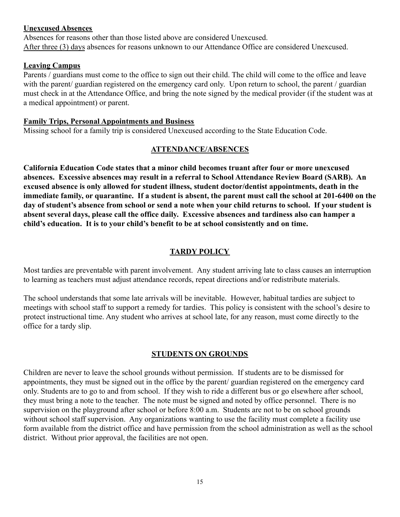#### **Unexcused Absences**

Absences for reasons other than those listed above are considered Unexcused. After three (3) days absences for reasons unknown to our Attendance Office are considered Unexcused.

#### **Leaving Campus**

Parents / guardians must come to the office to sign out their child. The child will come to the office and leave with the parent/ guardian registered on the emergency card only. Upon return to school, the parent / guardian must check in at the Attendance Office, and bring the note signed by the medical provider (if the student was at a medical appointment) or parent.

#### **Family Trips, Personal Appointments and Business**

Missing school for a family trip is considered Unexcused according to the State Education Code.

#### **ATTENDANCE/ABSENCES**

**California Education Code states that a minor child becomes truant after four or more unexcused absences. Excessive absences may result in a referral to School Attendance Review Board (SARB). An excused absence is only allowed for student illness, student doctor/dentist appointments, death in the immediate family, or quarantine. If a student is absent, the parent must call the school at 201-6400 on the day of student's absence from school or send a note when your child returns to school. If your student is absent several days, please call the office daily. Excessive absences and tardiness also can hamper a child's education. It is to your child's benefit to be at school consistently and on time.**

#### **TARDY POLICY**

Most tardies are preventable with parent involvement. Any student arriving late to class causes an interruption to learning as teachers must adjust attendance records, repeat directions and/or redistribute materials.

The school understands that some late arrivals will be inevitable. However, habitual tardies are subject to meetings with school staff to support a remedy for tardies. This policy is consistent with the school's desire to protect instructional time. Any student who arrives at school late, for any reason, must come directly to the office for a tardy slip.

#### **STUDENTS ON GROUNDS**

Children are never to leave the school grounds without permission. If students are to be dismissed for appointments, they must be signed out in the office by the parent/ guardian registered on the emergency card only. Students are to go to and from school. If they wish to ride a different bus or go elsewhere after school, they must bring a note to the teacher. The note must be signed and noted by office personnel. There is no supervision on the playground after school or before 8:00 a.m. Students are not to be on school grounds without school staff supervision. Any organizations wanting to use the facility must complete a facility use form available from the district office and have permission from the school administration as well as the school district. Without prior approval, the facilities are not open.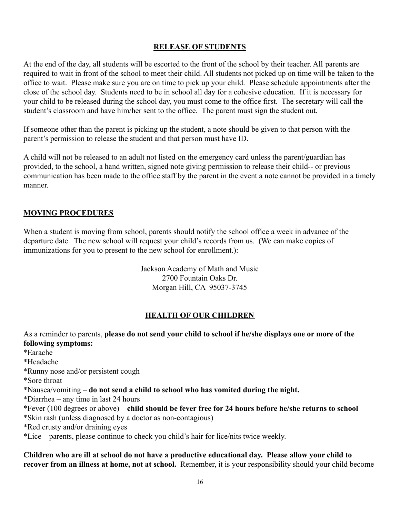# **RELEASE OF STUDENTS**

At the end of the day, all students will be escorted to the front of the school by their teacher. All parents are required to wait in front of the school to meet their child. All students not picked up on time will be taken to the office to wait. Please make sure you are on time to pick up your child. Please schedule appointments after the close of the school day. Students need to be in school all day for a cohesive education. If it is necessary for your child to be released during the school day, you must come to the office first. The secretary will call the student's classroom and have him/her sent to the office. The parent must sign the student out.

If someone other than the parent is picking up the student, a note should be given to that person with the parent's permission to release the student and that person must have ID.

A child will not be released to an adult not listed on the emergency card unless the parent/guardian has provided, to the school, a hand written, signed note giving permission to release their child-- or previous communication has been made to the office staff by the parent in the event a note cannot be provided in a timely manner.

## **MOVING PROCEDURES**

When a student is moving from school, parents should notify the school office a week in advance of the departure date. The new school will request your child's records from us. (We can make copies of immunizations for you to present to the new school for enrollment.):

> Jackson Academy of Math and Music 2700 Fountain Oaks Dr. Morgan Hill, CA 95037-3745

# **HEALTH OF OUR CHILDREN**

As a reminder to parents, **please do not send your child to school if he/she displays one or more of the following symptoms:**

\*Earache

\*Headache

\*Runny nose and/or persistent cough

\*Sore throat

\*Nausea/vomiting – **do not send a child to school who has vomited during the night.**

\*Diarrhea – any time in last 24 hours

\*Fever (100 degrees or above) – **child should be fever free for 24 hours before he/she returns to school**

\*Skin rash (unless diagnosed by a doctor as non-contagious)

\*Red crusty and/or draining eyes

\*Lice – parents, please continue to check you child's hair for lice/nits twice weekly.

**Children who are ill at school do not have a productive educational day. Please allow your child to recover from an illness at home, not at school.** Remember, it is your responsibility should your child become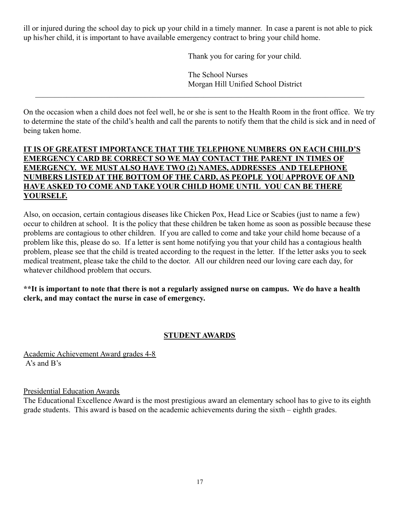ill or injured during the school day to pick up your child in a timely manner. In case a parent is not able to pick up his/her child, it is important to have available emergency contract to bring your child home.

Thank you for caring for your child.

The School Nurses Morgan Hill Unified School District

On the occasion when a child does not feel well, he or she is sent to the Health Room in the front office. We try to determine the state of the child's health and call the parents to notify them that the child is sick and in need of being taken home.

 $\mathcal{L}_\text{max} = \frac{1}{2} \sum_{i=1}^n \mathcal{L}_\text{max}(\mathbf{x}_i - \mathbf{y}_i)$ 

# **IT IS OF GREATEST IMPORTANCE THAT THE TELEPHONE NUMBERS ON EACH CHILD'S EMERGENCY CARD BE CORRECT SO WE MAY CONTACT THE PARENT IN TIMES OF EMERGENCY. WE MUST ALSO HAVE TWO (2) NAMES, ADDRESSES AND TELEPHONE NUMBERS LISTED AT THE BOTTOM OF THE CARD, AS PEOPLE YOU APPROVE OF AND HAVE ASKED TO COME AND TAKE YOUR CHILD HOME UNTIL YOU CAN BE THERE YOURSELF.**

Also, on occasion, certain contagious diseases like Chicken Pox, Head Lice or Scabies (just to name a few) occur to children at school. It is the policy that these children be taken home as soon as possible because these problems are contagious to other children. If you are called to come and take your child home because of a problem like this, please do so. If a letter is sent home notifying you that your child has a contagious health problem, please see that the child is treated according to the request in the letter. If the letter asks you to seek medical treatment, please take the child to the doctor. All our children need our loving care each day, for whatever childhood problem that occurs.

## **\*\*It is important to note that there is not a regularly assigned nurse on campus. We do have a health clerk, and may contact the nurse in case of emergency.**

# **STUDENT AWARDS**

Academic Achievement Award grades 4-8 A's and B's

## Presidential Education Awards

The Educational Excellence Award is the most prestigious award an elementary school has to give to its eighth grade students. This award is based on the academic achievements during the sixth – eighth grades.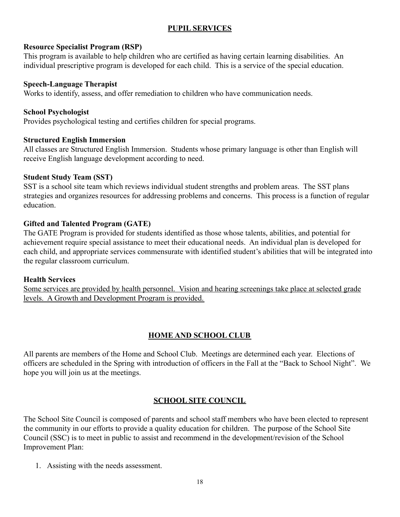# **PUPIL SERVICES**

#### **Resource Specialist Program (RSP)**

This program is available to help children who are certified as having certain learning disabilities. An individual prescriptive program is developed for each child. This is a service of the special education.

#### **Speech-Language Therapist**

Works to identify, assess, and offer remediation to children who have communication needs.

## **School Psychologist**

Provides psychological testing and certifies children for special programs.

## **Structured English Immersion**

All classes are Structured English Immersion. Students whose primary language is other than English will receive English language development according to need.

#### **Student Study Team (SST)**

SST is a school site team which reviews individual student strengths and problem areas. The SST plans strategies and organizes resources for addressing problems and concerns. This process is a function of regular education.

## **Gifted and Talented Program (GATE)**

The GATE Program is provided for students identified as those whose talents, abilities, and potential for achievement require special assistance to meet their educational needs. An individual plan is developed for each child, and appropriate services commensurate with identified student's abilities that will be integrated into the regular classroom curriculum.

#### **Health Services**

Some services are provided by health personnel. Vision and hearing screenings take place at selected grade levels. A Growth and Development Program is provided.

# **HOME AND SCHOOL CLUB**

All parents are members of the Home and School Club. Meetings are determined each year. Elections of officers are scheduled in the Spring with introduction of officers in the Fall at the "Back to School Night". We hope you will join us at the meetings.

## **SCHOOL SITE COUNCIL**

The School Site Council is composed of parents and school staff members who have been elected to represent the community in our efforts to provide a quality education for children. The purpose of the School Site Council (SSC) is to meet in public to assist and recommend in the development/revision of the School Improvement Plan:

1. Assisting with the needs assessment.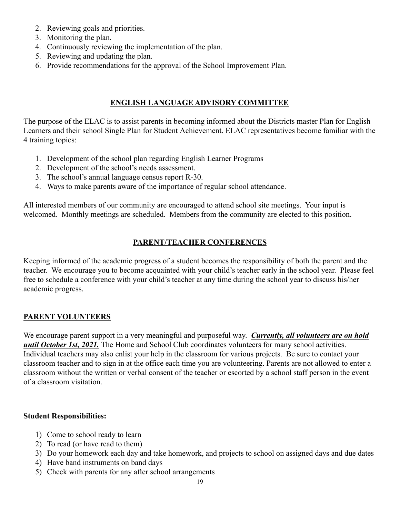- 2. Reviewing goals and priorities.
- 3. Monitoring the plan.
- 4. Continuously reviewing the implementation of the plan.
- 5. Reviewing and updating the plan.
- 6. Provide recommendations for the approval of the School Improvement Plan.

# **ENGLISH LANGUAGE ADVISORY COMMITTEE**

The purpose of the ELAC is to assist parents in becoming informed about the Districts master Plan for English Learners and their school Single Plan for Student Achievement. ELAC representatives become familiar with the 4 training topics:

- 1. Development of the school plan regarding English Learner Programs
- 2. Development of the school's needs assessment.
- 3. The school's annual language census report R-30.
- 4. Ways to make parents aware of the importance of regular school attendance.

All interested members of our community are encouraged to attend school site meetings. Your input is welcomed. Monthly meetings are scheduled. Members from the community are elected to this position.

# **PARENT/TEACHER CONFERENCES**

Keeping informed of the academic progress of a student becomes the responsibility of both the parent and the teacher. We encourage you to become acquainted with your child's teacher early in the school year. Please feel free to schedule a conference with your child's teacher at any time during the school year to discuss his/her academic progress.

# **PARENT VOLUNTEERS**

We encourage parent support in a very meaningful and purposeful way. *Currently, all volunteers are on hold until October 1st, 2021.* The Home and School Club coordinates volunteers for many school activities. Individual teachers may also enlist your help in the classroom for various projects. Be sure to contact your classroom teacher and to sign in at the office each time you are volunteering. Parents are not allowed to enter a classroom without the written or verbal consent of the teacher or escorted by a school staff person in the event of a classroom visitation.

## **Student Responsibilities:**

- 1) Come to school ready to learn
- 2) To read (or have read to them)
- 3) Do your homework each day and take homework, and projects to school on assigned days and due dates
- 4) Have band instruments on band days
- 5) Check with parents for any after school arrangements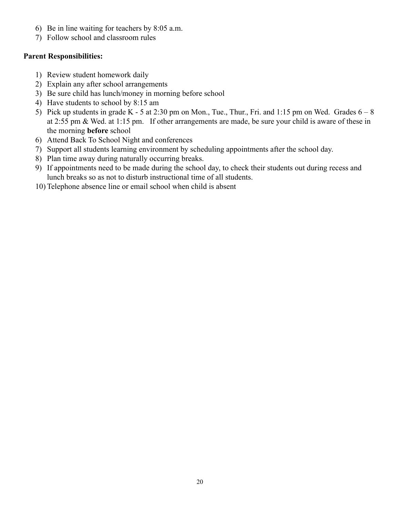- 6) Be in line waiting for teachers by 8:05 a.m.
- 7) Follow school and classroom rules

# **Parent Responsibilities:**

- 1) Review student homework daily
- 2) Explain any after school arrangements
- 3) Be sure child has lunch/money in morning before school
- 4) Have students to school by 8:15 am
- 5) Pick up students in grade K 5 at 2:30 pm on Mon., Tue., Thur., Fri. and 1:15 pm on Wed. Grades  $6 8$ at 2:55 pm & Wed. at 1:15 pm. If other arrangements are made, be sure your child is aware of these in the morning **before** school
- 6) Attend Back To School Night and conferences
- 7) Support all students learning environment by scheduling appointments after the school day.
- 8) Plan time away during naturally occurring breaks.
- 9) If appointments need to be made during the school day, to check their students out during recess and lunch breaks so as not to disturb instructional time of all students.
- 10) Telephone absence line or email school when child is absent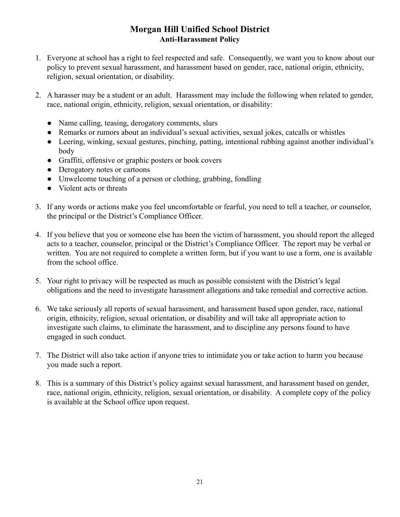# **Morgan Hill Unified School District Anti-Harassment Policy**

- 1. Everyone at school has a right to feel respected and safe. Consequently, we want you to know about our policy to prevent sexual harassment, and harassment based on gender, race, national origin, ethnicity, religion, sexual orientation, or disability.
- 2. A harasser may be a student or an adult. Harassment may include the following when related to gender, race, national origin, ethnicity, religion, sexual orientation, or disability:
	- Name calling, teasing, derogatory comments, slurs
	- Remarks or rumors about an individual's sexual activities, sexual jokes, catcalls or whistles
	- Leering, winking, sexual gestures, pinching, patting, intentional rubbing against another individual's body
	- Graffiti, offensive or graphic posters or book covers
	- Derogatory notes or cartoons
	- Unwelcome touching of a person or clothing, grabbing, fondling
	- Violent acts or threats
- 3. If any words or actions make you feel uncomfortable or fearful, you need to tell a teacher, or counselor, the principal or the District's Compliance Officer.
- 4. If you believe that you or someone else has been the victim of harassment, you should report the alleged acts to a teacher, counselor, principal or the District's Compliance Officer. The report may be verbal or written. You are not required to complete a written form, but if you want to use a form, one is available from the school office.
- 5. Your right to privacy will be respected as much as possible consistent with the District's legal obligations and the need to investigate harassment allegations and take remedial and corrective action.
- 6. We take seriously all reports of sexual harassment, and harassment based upon gender, race, national origin, ethnicity, religion, sexual orientation, or disability and will take all appropriate action to investigate such claims, to eliminate the harassment, and to discipline any persons found to have engaged in such conduct.
- 7. The District will also take action if anyone tries to intimidate you or take action to harm you because you made such a report.
- 8. This is a summary of this District's policy against sexual harassment, and harassment based on gender, race, national origin, ethnicity, religion, sexual orientation, or disability. A complete copy of the policy is available at the School office upon request.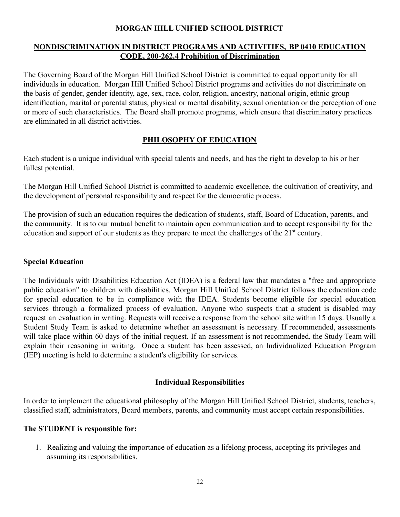## **MORGAN HILL UNIFIED SCHOOL DISTRICT**

#### **NONDISCRIMINATION IN DISTRICT PROGRAMS AND ACTIVITIES, BP 0410 EDUCATION CODE, 200-262.4 Prohibition of Discrimination**

The Governing Board of the Morgan Hill Unified School District is committed to equal opportunity for all individuals in education. Morgan Hill Unified School District programs and activities do not discriminate on the basis of gender, gender identity, age, sex, race, color, religion, ancestry, national origin, ethnic group identification, marital or parental status, physical or mental disability, sexual orientation or the perception of one or more of such characteristics. The Board shall promote programs, which ensure that discriminatory practices are eliminated in all district activities.

# **PHILOSOPHY OF EDUCATION**

Each student is a unique individual with special talents and needs, and has the right to develop to his or her fullest potential.

The Morgan Hill Unified School District is committed to academic excellence, the cultivation of creativity, and the development of personal responsibility and respect for the democratic process.

The provision of such an education requires the dedication of students, staff, Board of Education, parents, and the community. It is to our mutual benefit to maintain open communication and to accept responsibility for the education and support of our students as they prepare to meet the challenges of the  $21<sup>st</sup>$  century.

# **Special Education**

The Individuals with Disabilities Education Act (IDEA) is a federal law that mandates a "free and appropriate public education" to children with disabilities. Morgan Hill Unified School District follows the education code for special education to be in compliance with the IDEA. Students become eligible for special education services through a formalized process of evaluation. Anyone who suspects that a student is disabled may request an evaluation in writing. Requests will receive a response from the school site within 15 days. Usually a Student Study Team is asked to determine whether an assessment is necessary. If recommended, assessments will take place within 60 days of the initial request. If an assessment is not recommended, the Study Team will explain their reasoning in writing. Once a student has been assessed, an Individualized Education Program (IEP) meeting is held to determine a student's eligibility for services.

## **Individual Responsibilities**

In order to implement the educational philosophy of the Morgan Hill Unified School District, students, teachers, classified staff, administrators, Board members, parents, and community must accept certain responsibilities.

## **The STUDENT is responsible for:**

1. Realizing and valuing the importance of education as a lifelong process, accepting its privileges and assuming its responsibilities.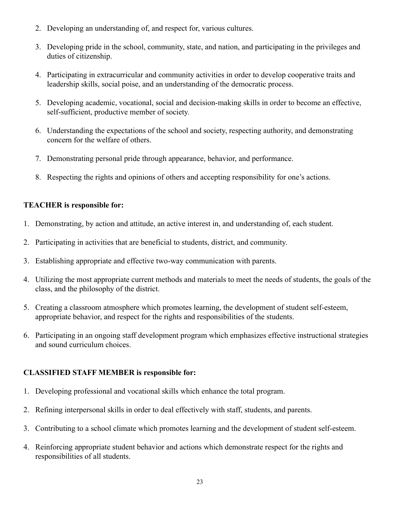- 2. Developing an understanding of, and respect for, various cultures.
- 3. Developing pride in the school, community, state, and nation, and participating in the privileges and duties of citizenship.
- 4. Participating in extracurricular and community activities in order to develop cooperative traits and leadership skills, social poise, and an understanding of the democratic process.
- 5. Developing academic, vocational, social and decision-making skills in order to become an effective, self-sufficient, productive member of society.
- 6. Understanding the expectations of the school and society, respecting authority, and demonstrating concern for the welfare of others.
- 7. Demonstrating personal pride through appearance, behavior, and performance.
- 8. Respecting the rights and opinions of others and accepting responsibility for one's actions.

# **TEACHER is responsible for:**

- 1. Demonstrating, by action and attitude, an active interest in, and understanding of, each student.
- 2. Participating in activities that are beneficial to students, district, and community.
- 3. Establishing appropriate and effective two-way communication with parents.
- 4. Utilizing the most appropriate current methods and materials to meet the needs of students, the goals of the class, and the philosophy of the district.
- 5. Creating a classroom atmosphere which promotes learning, the development of student self-esteem, appropriate behavior, and respect for the rights and responsibilities of the students.
- 6. Participating in an ongoing staff development program which emphasizes effective instructional strategies and sound curriculum choices.

# **CLASSIFIED STAFF MEMBER is responsible for:**

- 1. Developing professional and vocational skills which enhance the total program.
- 2. Refining interpersonal skills in order to deal effectively with staff, students, and parents.
- 3. Contributing to a school climate which promotes learning and the development of student self-esteem.
- 4. Reinforcing appropriate student behavior and actions which demonstrate respect for the rights and responsibilities of all students.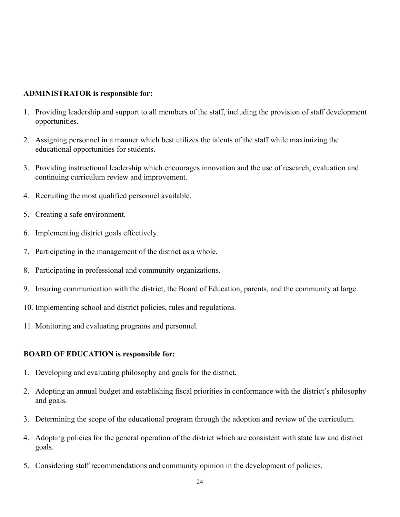#### **ADMINISTRATOR is responsible for:**

- 1. Providing leadership and support to all members of the staff, including the provision of staff development opportunities.
- 2. Assigning personnel in a manner which best utilizes the talents of the staff while maximizing the educational opportunities for students.
- 3. Providing instructional leadership which encourages innovation and the use of research, evaluation and continuing curriculum review and improvement.
- 4. Recruiting the most qualified personnel available.
- 5. Creating a safe environment.
- 6. Implementing district goals effectively.
- 7. Participating in the management of the district as a whole.
- 8. Participating in professional and community organizations.
- 9. Insuring communication with the district, the Board of Education, parents, and the community at large.
- 10. Implementing school and district policies, rules and regulations.
- 11. Monitoring and evaluating programs and personnel.

#### **BOARD OF EDUCATION is responsible for:**

- 1. Developing and evaluating philosophy and goals for the district.
- 2. Adopting an annual budget and establishing fiscal priorities in conformance with the district's philosophy and goals.
- 3. Determining the scope of the educational program through the adoption and review of the curriculum.
- 4. Adopting policies for the general operation of the district which are consistent with state law and district goals.
- 5. Considering staff recommendations and community opinion in the development of policies.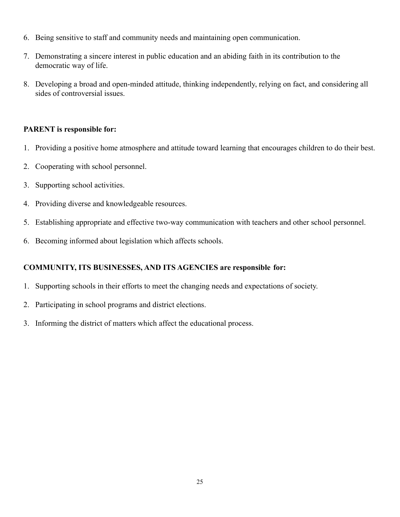- 6. Being sensitive to staff and community needs and maintaining open communication.
- 7. Demonstrating a sincere interest in public education and an abiding faith in its contribution to the democratic way of life.
- 8. Developing a broad and open-minded attitude, thinking independently, relying on fact, and considering all sides of controversial issues.

#### **PARENT is responsible for:**

- 1. Providing a positive home atmosphere and attitude toward learning that encourages children to do their best.
- 2. Cooperating with school personnel.
- 3. Supporting school activities.
- 4. Providing diverse and knowledgeable resources.
- 5. Establishing appropriate and effective two-way communication with teachers and other school personnel.
- 6. Becoming informed about legislation which affects schools.

## **COMMUNITY, ITS BUSINESSES, AND ITS AGENCIES are responsible for:**

- 1. Supporting schools in their efforts to meet the changing needs and expectations of society.
- 2. Participating in school programs and district elections.
- 3. Informing the district of matters which affect the educational process.